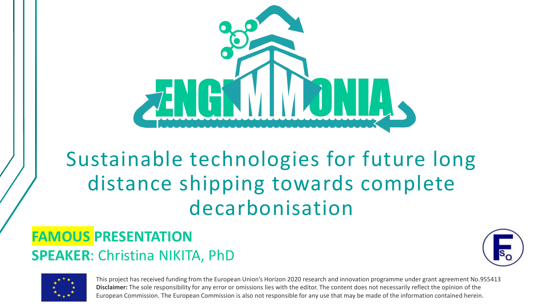

# Sustainable technologies for future long distance shipping towards complete decarbonisation

#### **FAMOUS PRESENTATION SPEAKER**: Christina NIKITA, PhD



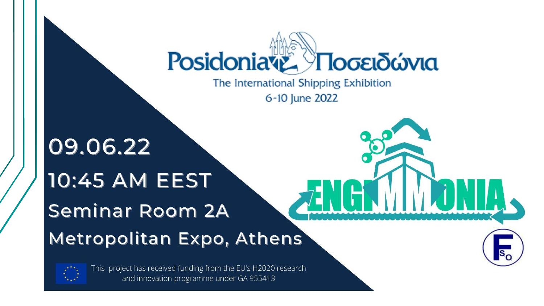



This project has received funding from the EU's H2020 research and innovation programme under GA 955413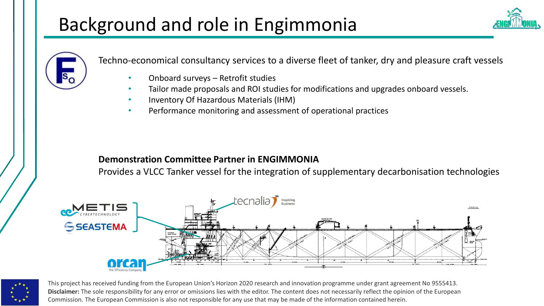## Background and role in Engimmonia



Techno-economical consultancy services to a diverse fleet of tanker, dry and pleasure craft vessels

- Onboard surveys Retrofit studies
- Tailor made proposals and ROI studies for modifications and upgrades onboard vessels.
- Inventory Of Hazardous Materials (IHM)
- Performance monitoring and assessment of operational practices

#### **Demonstration Committee Partner in ENGIMMONIA**

Provides a VLCC Tanker vessel for the integration of supplementary decarbonisation technologies



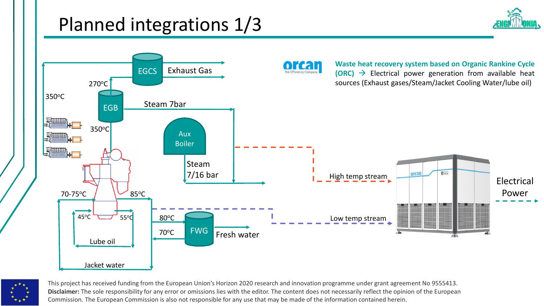## Planned integrations 1/3





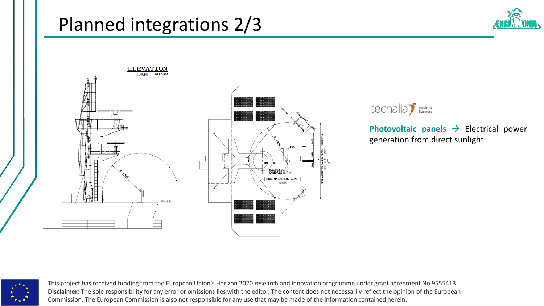#### Planned integrations 2/3







**Photovoltaic panels** → Electrical power generation from direct sunlight.

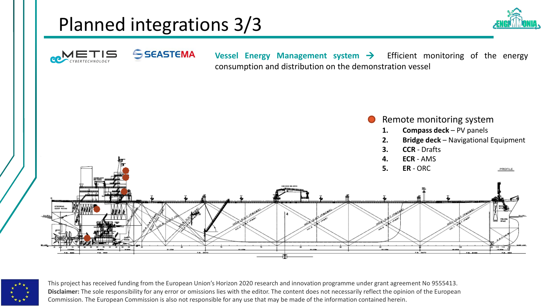## Planned integrations 3/3





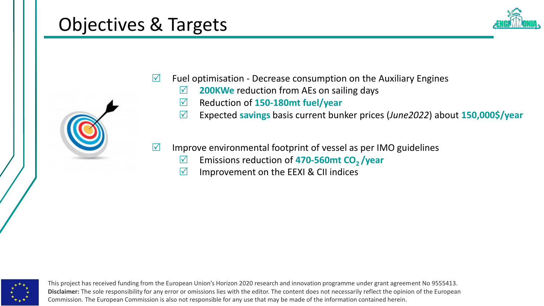#### Objectives & Targets





- $\triangledown$  Fuel optimisation Decrease consumption on the Auxiliary Engines
	- **200KWe** reduction from AEs on sailing days
	- Reduction of **150-180mt fuel/year**
	- Expected **savings** basis current bunker prices (*June2022*) about **150,000\$/year**
- $\triangledown$  Improve environmental footprint of vessel as per IMO guidelines
	- Emissions reduction of **470-560mt CO2 /year**
	- $\triangledown$  Improvement on the EEXI & CII indices

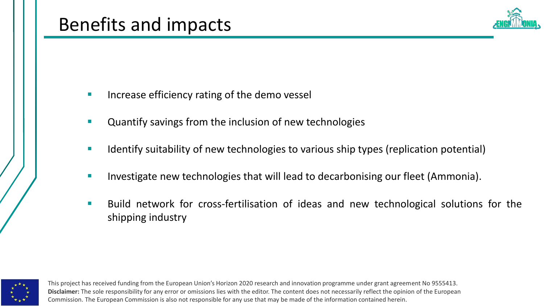

- Increase efficiency rating of the demo vessel
- Quantify savings from the inclusion of new technologies
- **E** Identify suitability of new technologies to various ship types (replication potential)
- Investigate new technologies that will lead to decarbonising our fleet (Ammonia).
- Build network for cross-fertilisation of ideas and new technological solutions for the shipping industry